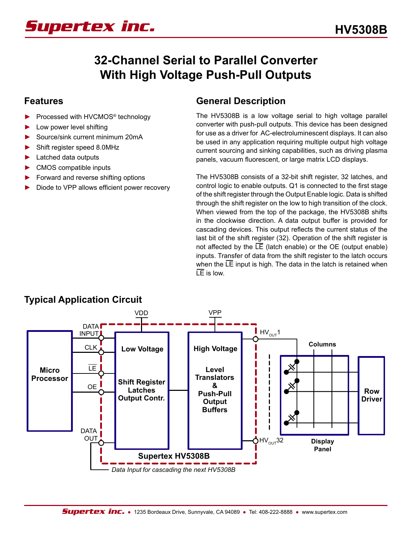# *Supertex inc.*

# **32-Channel Serial to Parallel Converter With High Voltage Push-Pull Outputs**

#### **Features**

- ► Processed with HVCMOS® technology
- Low power level shifting
- ► Source/sink current minimum 20mA
- Shift register speed 8.0MHz
- ► Latched data outputs
- ► CMOS compatible inputs
- ► Forward and reverse shifting options
- Diode to VPP allows efficient power recovery

#### **General Description**

The HV5308B is a low voltage serial to high voltage parallel converter with push-pull outputs. This device has been designed for use as a driver for AC-electroluminescent displays. It can also be used in any application requiring multiple output high voltage current sourcing and sinking capabilities, such as driving plasma panels, vacuum fluorescent, or large matrix LCD displays.

The HV5308B consists of a 32-bit shift register, 32 latches, and control logic to enable outputs. Q1 is connected to the first stage of the shift register through the Output Enable logic. Data is shifted through the shift register on the low to high transition of the clock. When viewed from the top of the package, the HV5308B shifts in the clockwise direction. A data output buffer is provided for cascading devices. This output reflects the current status of the last bit of the shift register (32). Operation of the shift register is not affected by the  $LE$  (latch enable) or the OE (output enable) inputs. Transfer of data from the shift register to the latch occurs when the LE input is high. The data in the latch is retained when  $LE$  is low.



#### **Typical Application Circuit**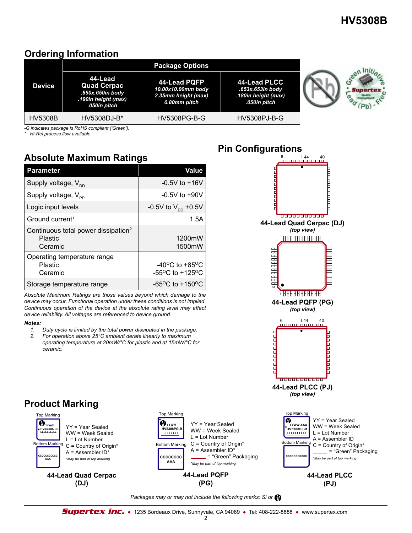### **Ordering Information**

| <b>Device</b>  | 44-Lead<br><b>Quad Cerpac</b><br>.650x.650in body<br>.190in height (max)<br>.050in pitch | 44-Lead PQFP<br>10.00x10.00mm body<br>2.35mm height (max)<br>0.80mm pitch | 44-Lead PLCC<br>.653x.653in body<br>.180in height (max)<br>.050in pitch |  |
|----------------|------------------------------------------------------------------------------------------|---------------------------------------------------------------------------|-------------------------------------------------------------------------|--|
| <b>HV5308B</b> | HV5308DJ-B*                                                                              | <b>HV5308PG-B-G</b>                                                       | HV5308PJ-B-G                                                            |  |

*-G indicates package is RoHS compliant ('Green').*

*\* Hi-Rel process flow available.*

### **Absolute Maximum Ratings**

| <b>Parameter</b>                                                             | Value                                                                           |
|------------------------------------------------------------------------------|---------------------------------------------------------------------------------|
| Supply voltage, $V_{\text{DD}}$                                              | $-0.5V$ to $+16V$                                                               |
| Supply voltage, $V_{\text{pp}}$                                              | $-0.5V$ to $+90V$                                                               |
| Logic input levels                                                           | -0.5V to $V_{\text{DD}}$ +0.5V                                                  |
| Ground current <sup>1</sup>                                                  | 1.5A                                                                            |
| Continuous total power dissipation <sup>2</sup><br><b>Plastic</b><br>Ceramic | 1200mW<br>1500mW                                                                |
| Operating temperature range<br>Plastic<br>Ceramic                            | -40 <sup>o</sup> C to +85 <sup>o</sup> C<br>$-55^{\circ}$ C to $+125^{\circ}$ C |
| Storage temperature range                                                    | -65 <sup>o</sup> C to +150 <sup>o</sup> C                                       |

*Absolute Maximum Ratings are those values beyond which damage to the device may occur. Functional operation under these conditions is not implied. Continuous operation of the device at the absolute rating level may affect device reliability. All voltages are referenced to device ground.*

#### *Notes:*

**Product Marking**

Top Marking

 $\ddot{\textbf{y}}_{\text{www}}$ **HV5308DJ-B LLLLLLLLLL** 

Bottom Marking

**CCCCCCCCCCC AAA** 

YY = Year Sealed WW = Week Sealed L = Lot Number C = Country of Origin\* A = Assembler ID\* *\*May be part of top marking* 

**44-Lead Quad Cerpac (DJ)**

- *1. Duty cycle is limited by the total power dissipated in the package.*
- *2. For operation above 25°C ambient derate linearly to maximum operating temperature at 20mW/°C for plastic and at 15mW/°C for ceramic.*

#### $6$  144 40<br>DRDDDDDDDDD **DE CARACTER DE LA PARTIE 44-Lead Quad Cerpac (DJ)** *(top view)* AAAAAAAAAAA RARARARANA **TELEVISION AND** 44 11111111111111 **44-Lead PQFP (PG)** *(top view)*  $6$  144 40 **THE PLANET CARD** الارداد والأرداد والأرداد **44-Lead PLCC (PJ)** *(top view)* Top Marking  $\boldsymbol{\theta}$ YY = Year Sealed YY = Year Sealed  **YYWW AAA** WW = Week Sealed **HV5308PJ-B** WW = Week Sealed **LLLLLLLLLL** L = Lot Number L = Lot Number A = Assembler ID Bottom Marking  $C =$  Country of Origin\* A = Assembler ID\*

**Pin Configurations**

C = Country of Origin\* = "Green" Packaging *\*May be part of top marking*  **CCCCCCCCCCC** 

#### **44-Lead PLCC (PJ)**

#### *Packages may or may not include the following marks: Si or*

**44-Lead PQFP (PG)**

Top Marking

*B*<sub>YYWW</sub> **HV5308PG-B LLLLLLLLL** 

Bottom Marking

**CCCCCCCC AAA** 

*\*May be part of top marking* 

= "Green" Packaging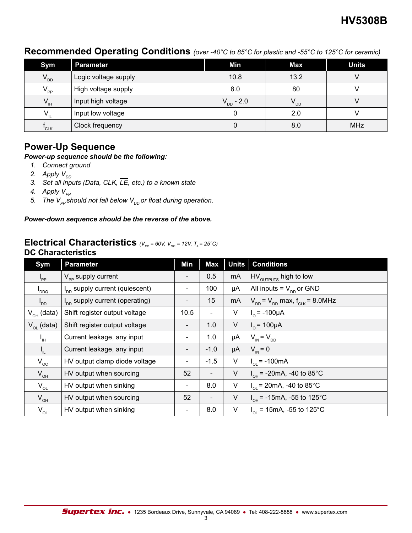#### **Recommended Operating Conditions** *(over -40°C to 85°C for plastic and -55°C to 125°C for ceramic)*

| Sym                            | <b>Parameter</b>     | Min            | <b>Max</b> | <b>Units</b> |
|--------------------------------|----------------------|----------------|------------|--------------|
| $V_{DD}$                       | Logic voltage supply | 10.8           | 13.2       |              |
| $V_{\text{pp}}$                | High voltage supply  | 8.0            | 80         |              |
| $V_{\scriptscriptstyle\rm IH}$ | Input high voltage   | $V_{DD} - 2.0$ | $V_{DD}$   |              |
| $V_{\rm n}$                    | Input low voltage    | 0              | 2.0        |              |
| 'CLK                           | Clock frequency      | 0              | 8.0        | <b>MHz</b>   |

#### **Power-Up Sequence**

#### *Power-up sequence should be the following:*

- *1. Connect ground*
- *2. Apply*  $V_{DD}$
- *3. Set all inputs (Data, CLK, LE, etc.) to a known state*
- *4. Apply*  $V_{pp}$
- *5. The V<sub>PP</sub>* should not fall below V<sub>DD</sub> or float during operation.

#### *Power-down sequence should be the reverse of the above.*

#### **Electrical Characteristics**  $(V_{pp} = 60V, V_{DD} = 12V, T_A = 25^{\circ}C)$ **DC Characteristics**

| Sym                        | <b>Parameter</b>                    | Min                      | <b>Max</b>               | <b>Units</b> | <b>Conditions</b>                           |
|----------------------------|-------------------------------------|--------------------------|--------------------------|--------------|---------------------------------------------|
| $I_{PP}$                   | $V_{\text{pp}}$ supply current      | -                        | 0.5                      | mA           | HV <sub>OUTPUTS</sub> high to low           |
| DDQ <sup>I</sup>           | $I_{DD}$ supply current (quiescent) |                          | 100                      | μA           | All inputs = $V_{\text{op}}$ or GND         |
| $I_{DD}$                   | $I_{DD}$ supply current (operating) |                          | 15                       | mA           | $V_{DD}$ = $V_{DD}$ max, $f_{CLK}$ = 8.0MHz |
| $V_{OH}$ (data)            | Shift register output voltage       | 10.5                     | $\overline{\phantom{a}}$ | V            | $I_0$ = -100µA                              |
| $V_{\alpha}$ (data)        | Shift register output voltage       | $\overline{\phantom{a}}$ | 1.0                      | V            | $I_0 = 100 \mu A$                           |
| ı''                        | Current leakage, any input          |                          | 1.0                      | μA           | $V_{IN} = V_{DD}$                           |
| I <sub>IL</sub>            | Current leakage, any input          | $\overline{\phantom{a}}$ | $-1.0$                   | μA           | $V_{1N} = 0$                                |
| $V_{oc}$                   | HV output clamp diode voltage       | $\overline{\phantom{a}}$ | $-1.5$                   | V            | $I_{\text{ol}} = -100 \text{mA}$            |
| $V_{\text{OH}}$            | HV output when sourcing             | 52                       | $\overline{\phantom{a}}$ | V            | $I_{OH}$ = -20mA, -40 to 85°C               |
| $V_{_{OL}}$                | HV output when sinking              | $\overline{\phantom{a}}$ | 8.0                      | V            | $I_{\text{ol}}$ = 20mA, -40 to 85°C         |
| $V_{OH}$                   | HV output when sourcing             | 52                       | $\overline{\phantom{a}}$ | V            | $I_{OH}$ = -15mA, -55 to 125°C              |
| $\mathsf{V}_{\mathsf{OL}}$ | HV output when sinking              | $\blacksquare$           | 8.0                      | V            | $I_{OL}$ = 15mA, -55 to 125°C               |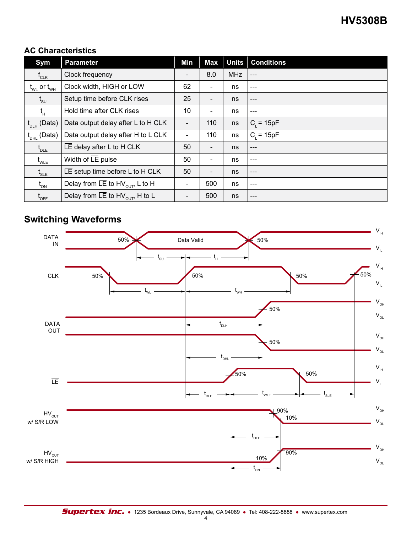#### **AC Characteristics**

| Sym                                              | <b>Parameter</b>                                         | Min                      | <b>Max</b>               | Units      | <b>Conditions</b> |
|--------------------------------------------------|----------------------------------------------------------|--------------------------|--------------------------|------------|-------------------|
| $\mathsf{f}_{\texttt{CLK}}$                      | Clock frequency                                          | $\overline{\phantom{a}}$ | 8.0                      | <b>MHz</b> | $---$             |
| $t_{\text{WL}}$ or $t_{\text{WH}}$               | Clock width, HIGH or LOW                                 | 62                       | $\overline{\phantom{a}}$ | ns         | $---$             |
| $\mathfrak{t}_{\mathsf{s}\mathsf{u}}$            | Setup time before CLK rises                              |                          | $\overline{\phantom{a}}$ | ns         | $---$             |
| t <sub>н</sub>                                   | Hold time after CLK rises                                | 10                       | $\overline{\phantom{a}}$ | ns         | ---               |
| $t_{\text{DLH}}$ (Data)                          | Data output delay after L to H CLK                       | $\overline{\phantom{a}}$ | 110                      | ns         | $C_i = 15pF$      |
| $t_{\text{DHL}}$ (Data)                          | Data output delay after H to L CLK                       | $\overline{\phantom{a}}$ | 110                      | ns         | $C_i = 15pF$      |
| $t_{\text{DLE}}$                                 | $LE$ delay after L to H CLK                              | 50                       | $\overline{\phantom{a}}$ | ns         | $---$             |
| $t_{\text{WLE}}$                                 | Width of $LE$ pulse                                      | 50                       | $\overline{\phantom{a}}$ | ns         | ---               |
| $\mathfrak{t}_{\textsf{\tiny SLE}}$              | $LE$ setup time before L to H CLK                        | 50                       | $\overline{\phantom{a}}$ | ns         | $---$             |
| $t_{_{ON}}$                                      | Delay from $\overline{LE}$ to HV <sub>OUT</sub> , L to H | $\overline{\phantom{a}}$ | 500                      | ns         | $---$             |
| $\mathfrak{t}_{\scriptscriptstyle \mathsf{OFF}}$ | Delay from $\overline{LE}$ to HV <sub>OUT</sub> , H to L | $\overline{\phantom{a}}$ | 500                      | ns         | $---$             |

### **Switching Waveforms**

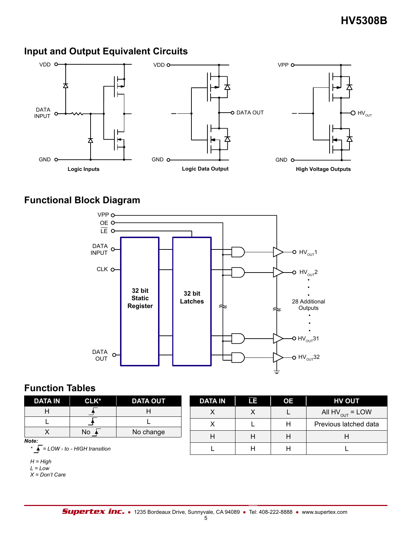### **Input and Output Equivalent Circuits**



### **Functional Block Diagram**



### **Function Tables**

| <b>DATA IN</b>                                       | CLK* | <b>DATA OUT</b> | <b>DATA IN</b> | LE | <b>OE</b> | <b>HV OUT</b>         |
|------------------------------------------------------|------|-----------------|----------------|----|-----------|-----------------------|
| н                                                    |      |                 |                |    |           | All $HV_{OUT} = LOW$  |
|                                                      |      |                 |                |    | н         | Previous latched data |
| ⌒                                                    | No   | No change       | Н              |    | H         | н                     |
| Note:<br>$\overline{I}$ = LOW - to - HIGH transition |      |                 |                |    |           |                       |

*H = High*

 $L = Low$ 

*X = Don't Care*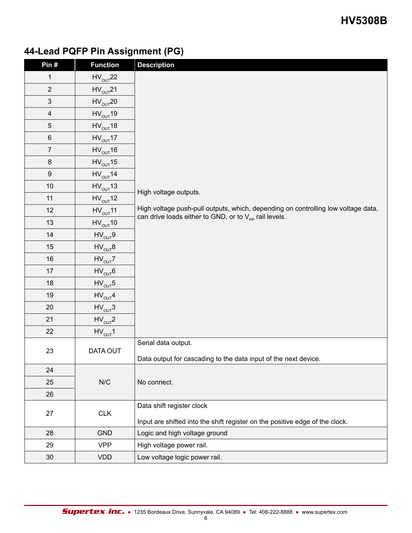# **44-Lead PQFP Pin Assignment (PG)**

| Pin#                    | <b>Function</b>                        | <b>Description</b>                                                                |  |  |  |  |  |
|-------------------------|----------------------------------------|-----------------------------------------------------------------------------------|--|--|--|--|--|
| $\mathbf{1}$            | $HV_{OUT}$ 22                          |                                                                                   |  |  |  |  |  |
| $\overline{2}$          | $HV_{OUT}$ 21                          |                                                                                   |  |  |  |  |  |
| $\sqrt{3}$              | $HV_{OUT}$ 20                          |                                                                                   |  |  |  |  |  |
| $\overline{\mathbf{4}}$ | $HV_{OUT}$ 19                          |                                                                                   |  |  |  |  |  |
| $\sqrt{5}$              | $HV_{OUT}18$                           |                                                                                   |  |  |  |  |  |
| $\,6\,$                 | $HV_{OUT}17$                           |                                                                                   |  |  |  |  |  |
| $\overline{7}$          | $HV_{OUT}16$                           |                                                                                   |  |  |  |  |  |
| $\bf 8$                 | $HV_{OUT}15$                           |                                                                                   |  |  |  |  |  |
| $\boldsymbol{9}$        | $HV_{OUT}$ 14                          |                                                                                   |  |  |  |  |  |
| $10$                    | $HV_{OUT}13$                           |                                                                                   |  |  |  |  |  |
| 11                      | $HV_{OUT}12$                           | High voltage outputs.                                                             |  |  |  |  |  |
| 12                      | $HV_{OUT}11$                           | High voltage push-pull outputs, which, depending on controlling low voltage data, |  |  |  |  |  |
| 13                      | $HV_{OUT}10$                           | can drive loads either to GND, or to $V_{\text{pp}}$ rail levels.                 |  |  |  |  |  |
| 14                      | $HV_{OUT}9$                            |                                                                                   |  |  |  |  |  |
| 15                      | $\mathsf{HV}_{\mathsf{OUT}}\mathsf{8}$ |                                                                                   |  |  |  |  |  |
| 16                      | $HV_{OUT}Z$                            |                                                                                   |  |  |  |  |  |
| 17                      | $HV_{OUT}6$                            |                                                                                   |  |  |  |  |  |
| 18                      | $HV_{OUT}5$                            |                                                                                   |  |  |  |  |  |
| 19                      | $HV_{OUT}4$                            |                                                                                   |  |  |  |  |  |
| 20                      | $HV_{OUT}3$                            |                                                                                   |  |  |  |  |  |
| 21                      | $HV_{OUT}2$                            |                                                                                   |  |  |  |  |  |
| 22                      | $HV_{OUT}1$                            |                                                                                   |  |  |  |  |  |
|                         |                                        | Serial data output.                                                               |  |  |  |  |  |
| 23                      | DATA OUT                               | Data output for cascading to the data input of the next device.                   |  |  |  |  |  |
| 24                      |                                        |                                                                                   |  |  |  |  |  |
| 25                      | N/C                                    | No connect.                                                                       |  |  |  |  |  |
| 26                      |                                        |                                                                                   |  |  |  |  |  |
|                         |                                        | Data shift register clock                                                         |  |  |  |  |  |
| 27                      | <b>CLK</b>                             | Input are shifted into the shift register on the positive edge of the clock.      |  |  |  |  |  |
| 28                      | <b>GND</b>                             | Logic and high voltage ground                                                     |  |  |  |  |  |
| 29                      | <b>VPP</b>                             | High voltage power rail.                                                          |  |  |  |  |  |
| 30 <sup>°</sup>         | <b>VDD</b>                             | Low voltage logic power rail.                                                     |  |  |  |  |  |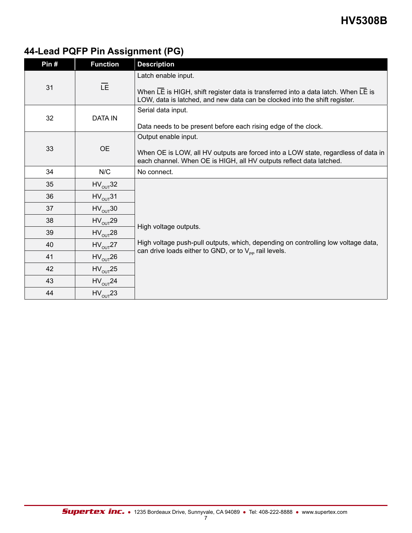# **44-Lead PQFP Pin Assignment (PG)**

| Pin# | <b>Function</b> | <b>Description</b>                                                                                                                                                                     |
|------|-----------------|----------------------------------------------------------------------------------------------------------------------------------------------------------------------------------------|
| 31   | LE.             | Latch enable input.<br>When LE is HIGH, shift register data is transferred into a data latch. When LE is<br>LOW, data is latched, and new data can be clocked into the shift register. |
| 32   | <b>DATA IN</b>  | Serial data input.<br>Data needs to be present before each rising edge of the clock.                                                                                                   |
| 33   | <b>OE</b>       | Output enable input.<br>When OE is LOW, all HV outputs are forced into a LOW state, regardless of data in<br>each channel. When OE is HIGH, all HV outputs reflect data latched.       |
| 34   | N/C             | No connect.                                                                                                                                                                            |
| 35   | $HV_{OUT}$ 32   |                                                                                                                                                                                        |
| 36   | $HV_{OUT}31$    |                                                                                                                                                                                        |
| 37   | $HV_{OUT}30$    |                                                                                                                                                                                        |
| 38   | $HV_{OUT}$ 29   |                                                                                                                                                                                        |
| 39   | $HV_{OUT}$ 28   | High voltage outputs.                                                                                                                                                                  |
| 40   | $HV_{OUT}$ 27   | High voltage push-pull outputs, which, depending on controlling low voltage data,                                                                                                      |
| 41   | $HV_{OUT}26$    | can drive loads either to GND, or to $V_{\text{pp}}$ rail levels.                                                                                                                      |
| 42   | $HV_{OUT}25$    |                                                                                                                                                                                        |
| 43   | $HV_{OUT}$ 24   |                                                                                                                                                                                        |
| 44   | $HV_{OUT}$ 23   |                                                                                                                                                                                        |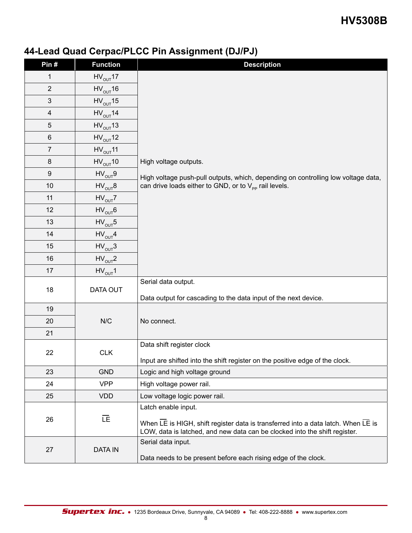### **44-Lead Quad Cerpac/PLCC Pin Assignment (DJ/PJ)**

| Pin#                    | <b>Function</b> | <b>Description</b>                                                                                                                                              |  |  |  |  |  |
|-------------------------|-----------------|-----------------------------------------------------------------------------------------------------------------------------------------------------------------|--|--|--|--|--|
| $\mathbf 1$             | $HV_{OUT}17$    |                                                                                                                                                                 |  |  |  |  |  |
| $\overline{2}$          | $HV_{OUT}16$    |                                                                                                                                                                 |  |  |  |  |  |
| $\mathfrak{S}$          | $HV_{OUT}15$    |                                                                                                                                                                 |  |  |  |  |  |
| $\overline{\mathbf{4}}$ | $HV_{OUT}$ 14   |                                                                                                                                                                 |  |  |  |  |  |
| 5                       | $HV_{OUT}13$    |                                                                                                                                                                 |  |  |  |  |  |
| 6                       | $HV_{OUT}12$    |                                                                                                                                                                 |  |  |  |  |  |
| $\overline{7}$          | $HV_{OUT}11$    |                                                                                                                                                                 |  |  |  |  |  |
| $\bf 8$                 | $HV_{OUT}10$    | High voltage outputs.                                                                                                                                           |  |  |  |  |  |
| 9                       | $HV_{OUT}9$     | High voltage push-pull outputs, which, depending on controlling low voltage data,                                                                               |  |  |  |  |  |
| 10                      | $HV_{OUT}B$     | can drive loads either to GND, or to $V_{\text{pp}}$ rail levels.                                                                                               |  |  |  |  |  |
| 11                      | $HV_{OUT}Z$     |                                                                                                                                                                 |  |  |  |  |  |
| 12                      | $HV_{OUT}$ 6    |                                                                                                                                                                 |  |  |  |  |  |
| 13                      | $HV_{OUT}5$     |                                                                                                                                                                 |  |  |  |  |  |
| 14                      | $HV_{OUT}4$     |                                                                                                                                                                 |  |  |  |  |  |
| 15                      | $HV_{OUT}3$     |                                                                                                                                                                 |  |  |  |  |  |
| 16                      | $HV_{OUT}2$     |                                                                                                                                                                 |  |  |  |  |  |
| 17                      | $HV_{OUT}1$     |                                                                                                                                                                 |  |  |  |  |  |
| 18                      | DATA OUT        | Serial data output.                                                                                                                                             |  |  |  |  |  |
|                         |                 | Data output for cascading to the data input of the next device.                                                                                                 |  |  |  |  |  |
| 19                      |                 |                                                                                                                                                                 |  |  |  |  |  |
| 20                      | N/C             | No connect.                                                                                                                                                     |  |  |  |  |  |
| 21                      |                 |                                                                                                                                                                 |  |  |  |  |  |
|                         |                 | Data shift register clock                                                                                                                                       |  |  |  |  |  |
| 22                      | <b>CLK</b>      | Input are shifted into the shift register on the positive edge of the clock.                                                                                    |  |  |  |  |  |
| 23                      | <b>GND</b>      | Logic and high voltage ground                                                                                                                                   |  |  |  |  |  |
| 24                      | <b>VPP</b>      | High voltage power rail.                                                                                                                                        |  |  |  |  |  |
| 25                      | <b>VDD</b>      | Low voltage logic power rail.                                                                                                                                   |  |  |  |  |  |
|                         |                 | Latch enable input.                                                                                                                                             |  |  |  |  |  |
| 26                      | <b>IE</b>       | When LE is HIGH, shift register data is transferred into a data latch. When LE is<br>LOW, data is latched, and new data can be clocked into the shift register. |  |  |  |  |  |
|                         |                 | Serial data input.                                                                                                                                              |  |  |  |  |  |
| 27                      | <b>DATA IN</b>  | Data needs to be present before each rising edge of the clock.                                                                                                  |  |  |  |  |  |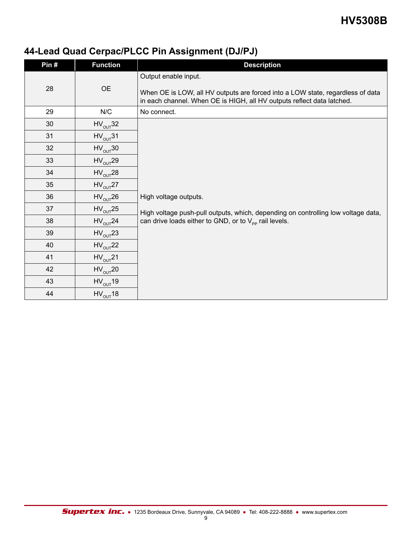# **44-Lead Quad Cerpac/PLCC Pin Assignment (DJ/PJ)**

| Pin# | <b>Function</b> | <b>Description</b>                                                                                                                                                               |
|------|-----------------|----------------------------------------------------------------------------------------------------------------------------------------------------------------------------------|
| 28   | <b>OE</b>       | Output enable input.<br>When OE is LOW, all HV outputs are forced into a LOW state, regardless of data<br>in each channel. When OE is HIGH, all HV outputs reflect data latched. |
| 29   | N/C             | No connect.                                                                                                                                                                      |
| 30   | $HV_{OUT}$ 32   |                                                                                                                                                                                  |
| 31   | $HV_{OUT}31$    |                                                                                                                                                                                  |
| 32   | $HV_{OUT}30$    |                                                                                                                                                                                  |
| 33   | $HV_{OUT}$ 29   |                                                                                                                                                                                  |
| 34   | $HV_{OUT}$ 28   |                                                                                                                                                                                  |
| 35   | $HV_{OUT}$ 27   |                                                                                                                                                                                  |
| 36   | $HV_{OUT}$ 26   | High voltage outputs.                                                                                                                                                            |
| 37   | $HV_{OUT}$ 25   | High voltage push-pull outputs, which, depending on controlling low voltage data,                                                                                                |
| 38   | $HV_{OUT}$ 24   | can drive loads either to GND, or to $V_{\text{pp}}$ rail levels.                                                                                                                |
| 39   | $HV_{OUT}$ 23   |                                                                                                                                                                                  |
| 40   | $HV_{OUT}$ 22   |                                                                                                                                                                                  |
| 41   | $HV_{OUT}$ 21   |                                                                                                                                                                                  |
| 42   | $HV_{OUT}$ 20   |                                                                                                                                                                                  |
| 43   | $HV_{OUT}19$    |                                                                                                                                                                                  |
| 44   | $HV_{OUT}18$    |                                                                                                                                                                                  |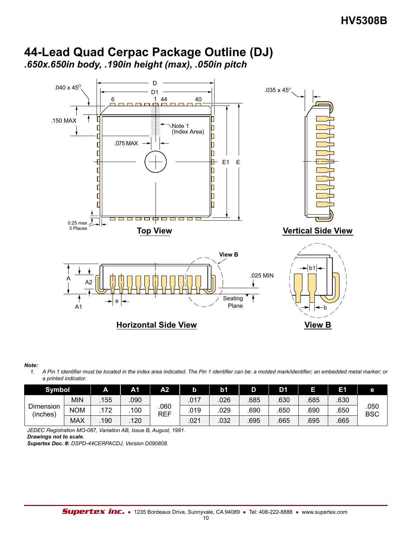



#### *Note:*

*1. A Pin 1 identifier must be located in the index area indicated. The Pin 1 identifier can be: a molded mark/identifier; an embedded metal marker; or a printed indicator.*

| <b>Symbol</b>         |            | A   | Α1   | A2          |      | b <sub>1</sub> |     | D1   | ū    | Е1   | е                  |
|-----------------------|------------|-----|------|-------------|------|----------------|-----|------|------|------|--------------------|
| Dimension<br>(inches) | <b>MIN</b> | 155 | .090 |             | .017 | .026           | 685 | .630 | 685  | .630 |                    |
|                       | <b>NOM</b> | 172 | 100  | .060<br>REF | .019 | 029            | 690 | .650 | 690  | .650 | .050<br><b>BSC</b> |
|                       | <b>MAX</b> | 190 | 120  |             | .021 | .032           | 695 | .665 | .695 | .665 |                    |

*JEDEC Registration MO-087, Variation AB, Issue B, August, 1991. Drawings not to scale.*

*Supertex Doc. #: DSPD-44CERPACDJ, Version D090808.*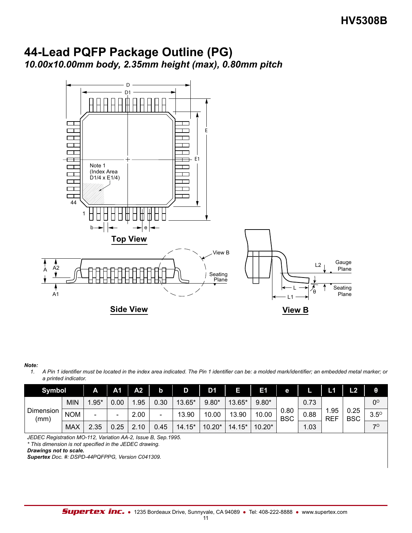### **44-Lead PQFP Package Outline (PG)** *10.00x10.00mm body, 2.35mm height (max), 0.80mm pitch*



#### *Note:*

*1. A Pin 1 identifier must be located in the index area indicated. The Pin 1 identifier can be: a molded mark/identifier; an embedded metal marker; or a printed indicator.*

| Symbol            |            | A                        | А1   | A2   | b                        |        | D1       |               | E1       | е                          |                     |                    | L2          | θ         |
|-------------------|------------|--------------------------|------|------|--------------------------|--------|----------|---------------|----------|----------------------------|---------------------|--------------------|-------------|-----------|
| Dimension<br>(mm) | <b>MIN</b> | $.95*$                   | 0.00 | .95  | 0.30                     | 13.65* | $9.80*$  | 13.65*        | $9.80*$  |                            | 0.73                |                    |             | $0^\circ$ |
|                   | <b>NOM</b> | $\overline{\phantom{0}}$ | -    | 2.00 | $\overline{\phantom{0}}$ | 13.90  | 10.00    | 13.90         | 10.00    | 0.80<br>0.88<br><b>BSC</b> | . .95<br><b>REF</b> | 0.25<br><b>BSC</b> | $3.5^\circ$ |           |
|                   | <b>MAX</b> | 2.35                     | 0.25 | 10   | 0.45                     | 14.15* | $10.20*$ | $.15*$<br>14. | $10.20*$ | 1.03                       |                     |                    | 70          |           |

*JEDEC Registration MO-112, Variation AA-2, Issue B, Sep.1995.*

*\* This dimension is not specified in the JEDEC drawing.*

*Drawings not to scale.*

*Supertex Doc. #: DSPD-44PQFPPG, Version C041309.*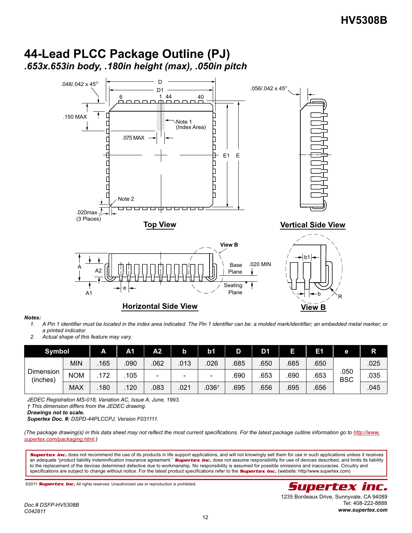

### **44-Lead PLCC Package Outline (PJ)** *.653x.653in body, .180in height (max), .050in pitch*

#### *Notes:*

- *1. A Pin 1 identifier must be located in the index area indicated. The Pin 1 identifier can be: a molded mark/identifier; an embedded metal marker; or a printed indicator.*
- *2. Actual shape of this feature may vary.*

| <b>Symbol</b>         |            | A    | А1   | А2     |      | b1                       | D    | D1   |      | E1   | е                  | R    |
|-----------------------|------------|------|------|--------|------|--------------------------|------|------|------|------|--------------------|------|
| Dimension<br>(inches) | MIN        | 165  | .090 | 062    | .013 | 026                      | 685  | .650 | 685  | .650 | .050<br><b>BSC</b> | .025 |
|                       | <b>NOM</b> | .172 | 105  | $\sim$ | -    | $\overline{\phantom{0}}$ | .690 | 653  | .690 | .653 |                    | .035 |
|                       | <b>MAX</b> | .180 | 120  | 083    | 021  | .036 <sup>t</sup>        | .695 | .656 | .695 | .656 |                    | .045 |

*JEDEC Registration MS-018, Variation AC, Issue A, June, 1993.* 

*† This dimension differs from the JEDEC drawing.*

*Drawings not to scale.*

*Supertex Doc. #: DSPD-44PLCCPJ, Version F031111.*

*(The package drawing(s) in this data sheet may not reflect the most current specifications. For the latest package outline information go to http://www. supertex.com/packaging.html.)*

*Supertex inc.* does not recommend the use of its products in life support applications, and will not knowingly sell them for use in such applications unless it receives an adequate "product liability indemnification insurance agreement." **Supertex inc.** does not assume responsibility for use of devices described, and limits its liability to the replacement of the devices determined defective due to workmanship. No responsibility is assumed for possible omissions and inaccuracies. Circuitry and specifications are subject to change without notice. For the latest product specifications refer to the *Supertex inc.* (website: http//www.supertex.com)

©2011 *Supertex inc.* All rights reserved. Unauthorized use or reproduction is prohibited. **Supperfex inc. All rights reserved.**